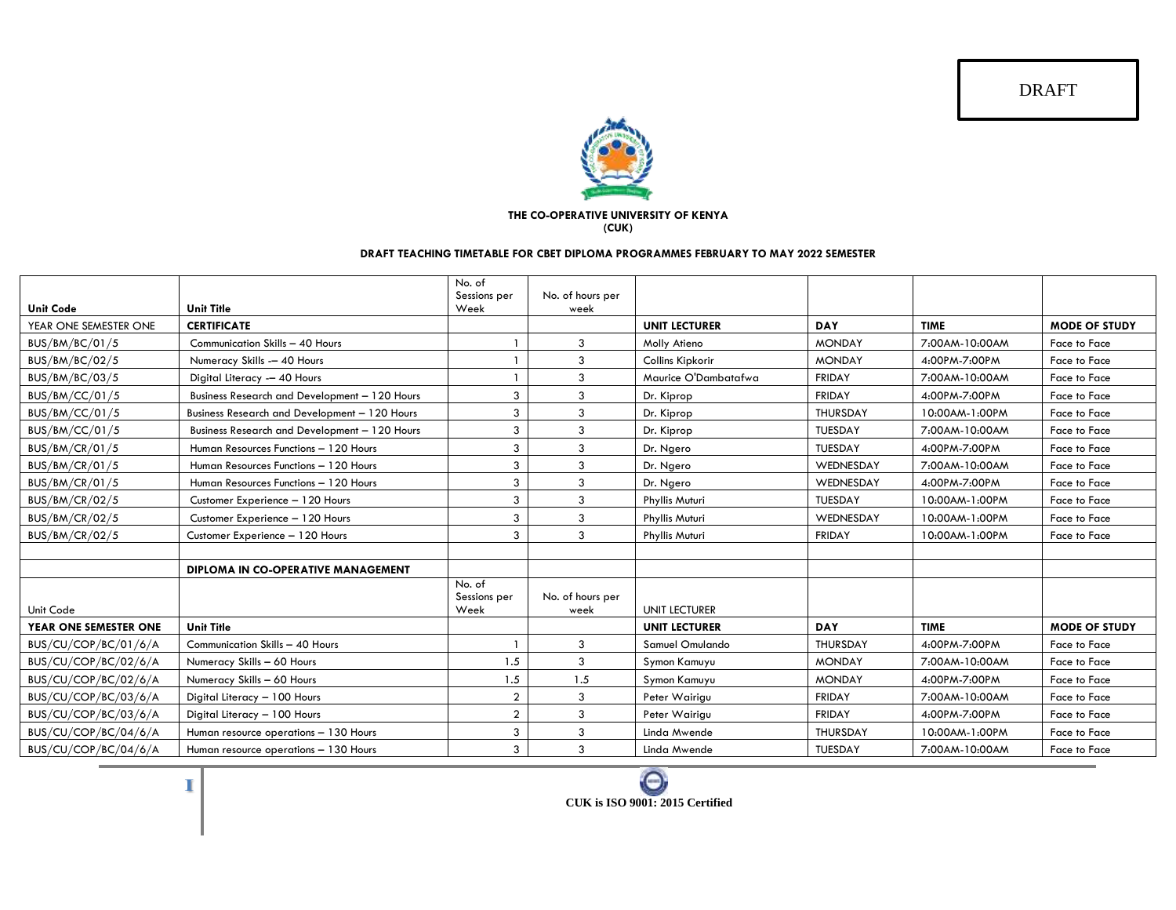DRAFT



## **THE CO-OPERATIVE UNIVERSITY OF KENYA**

**(CUK)**

## **DRAFT TEACHING TIMETABLE FOR CBET DIPLOMA PROGRAMMES FEBRUARY TO MAY 2022 SEMESTER**

|                       |                                               | No. of<br>Sessions per | No. of hours per         |                      |                 |                |                      |
|-----------------------|-----------------------------------------------|------------------------|--------------------------|----------------------|-----------------|----------------|----------------------|
| <b>Unit Code</b>      | <b>Unit Title</b>                             | Week                   | week                     |                      |                 |                |                      |
| YEAR ONE SEMESTER ONE | <b>CERTIFICATE</b>                            |                        |                          | <b>UNIT LECTURER</b> | <b>DAY</b>      | <b>TIME</b>    | <b>MODE OF STUDY</b> |
| BUS/BM/BC/01/5        | Communication Skills - 40 Hours               |                        | $\mathbf{3}$             | Molly Atieno         | <b>MONDAY</b>   | 7:00AM-10:00AM | Face to Face         |
| BUS/BM/BC/02/5        | Numeracy Skills -- 40 Hours                   |                        | 3                        | Collins Kipkorir     | <b>MONDAY</b>   | 4:00PM-7:00PM  | Face to Face         |
| BUS/BM/BC/03/5        | Digital Literacy -- 40 Hours                  |                        | 3                        | Maurice O'Dambatafwa | <b>FRIDAY</b>   | 7:00AM-10:00AM | Face to Face         |
| BUS/BM/CC/01/5        | Business Research and Development - 120 Hours | 3                      | 3                        | Dr. Kiprop           | <b>FRIDAY</b>   | 4:00PM-7:00PM  | Face to Face         |
| BUS/BM/CC/01/5        | Business Research and Development - 120 Hours | 3                      | 3                        | Dr. Kiprop           | <b>THURSDAY</b> | 10:00AM-1:00PM | Face to Face         |
| BUS/BM/CC/01/5        | Business Research and Development - 120 Hours | 3                      | 3                        | Dr. Kiprop           | <b>TUESDAY</b>  | 7:00AM-10:00AM | Face to Face         |
| BUS/BM/CR/01/5        | Human Resources Functions - 120 Hours         | 3                      | 3                        | Dr. Ngero            | <b>TUESDAY</b>  | 4:00PM-7:00PM  | Face to Face         |
| BUS/BM/CR/01/5        | Human Resources Functions - 120 Hours         | 3                      | 3                        | Dr. Ngero            | WEDNESDAY       | 7:00AM-10:00AM | Face to Face         |
| BUS/BM/CR/01/5        | Human Resources Functions - 120 Hours         | 3                      | 3                        | Dr. Ngero            | WEDNESDAY       | 4:00PM-7:00PM  | Face to Face         |
| <b>BUS/BM/CR/02/5</b> | Customer Experience - 120 Hours               | 3                      | 3                        | Phyllis Muturi       | <b>TUESDAY</b>  | 10:00AM-1:00PM | Face to Face         |
| BUS/BM/CR/02/5        | Customer Experience - 120 Hours               | 3                      | 3                        | Phyllis Muturi       | WEDNESDAY       | 10:00AM-1:00PM | Face to Face         |
| <b>BUS/BM/CR/02/5</b> | Customer Experience - 120 Hours               | 3                      | 3                        | Phyllis Muturi       | <b>FRIDAY</b>   | 10:00AM-1:00PM | Face to Face         |
|                       |                                               |                        |                          |                      |                 |                |                      |
|                       | DIPLOMA IN CO-OPERATIVE MANAGEMENT            |                        |                          |                      |                 |                |                      |
|                       |                                               | No. of                 |                          |                      |                 |                |                      |
| Unit Code             |                                               | Sessions per<br>Week   | No. of hours per<br>week | <b>UNIT LECTURER</b> |                 |                |                      |
| YEAR ONE SEMESTER ONE | <b>Unit Title</b>                             |                        |                          | <b>UNIT LECTURER</b> | <b>DAY</b>      | <b>TIME</b>    | <b>MODE OF STUDY</b> |
| BUS/CU/COP/BC/01/6/A  | Communication Skills - 40 Hours               |                        | 3                        | Samuel Omulando      | <b>THURSDAY</b> | 4:00PM-7:00PM  | Face to Face         |
| BUS/CU/COP/BC/02/6/A  | Numeracy Skills - 60 Hours                    | 1.5                    | 3                        | Symon Kamuyu         | <b>MONDAY</b>   | 7:00AM-10:00AM | Face to Face         |
| BUS/CU/COP/BC/02/6/A  | Numeracy Skills - 60 Hours                    | 1.5                    | 1.5                      | Symon Kamuyu         | <b>MONDAY</b>   | 4:00PM-7:00PM  | Face to Face         |
| BUS/CU/COP/BC/03/6/A  | Digital Literacy - 100 Hours                  | $\overline{2}$         | 3                        | Peter Wairigu        | <b>FRIDAY</b>   | 7:00AM-10:00AM | Face to Face         |
| BUS/CU/COP/BC/03/6/A  | Digital Literacy - 100 Hours                  | $\overline{2}$         | 3                        | Peter Wairigu        | <b>FRIDAY</b>   | 4:00PM-7:00PM  | Face to Face         |
| BUS/CU/COP/BC/04/6/A  | Human resource operations - 130 Hours         | 3                      | 3                        | Linda Mwende         | <b>THURSDAY</b> | 10:00AM-1:00PM | Face to Face         |
| BUS/CU/COP/BC/04/6/A  | Human resource operations - 130 Hours         | 3                      | 3                        | Linda Mwende         | <b>TUESDAY</b>  | 7:00AM-10:00AM | Face to Face         |

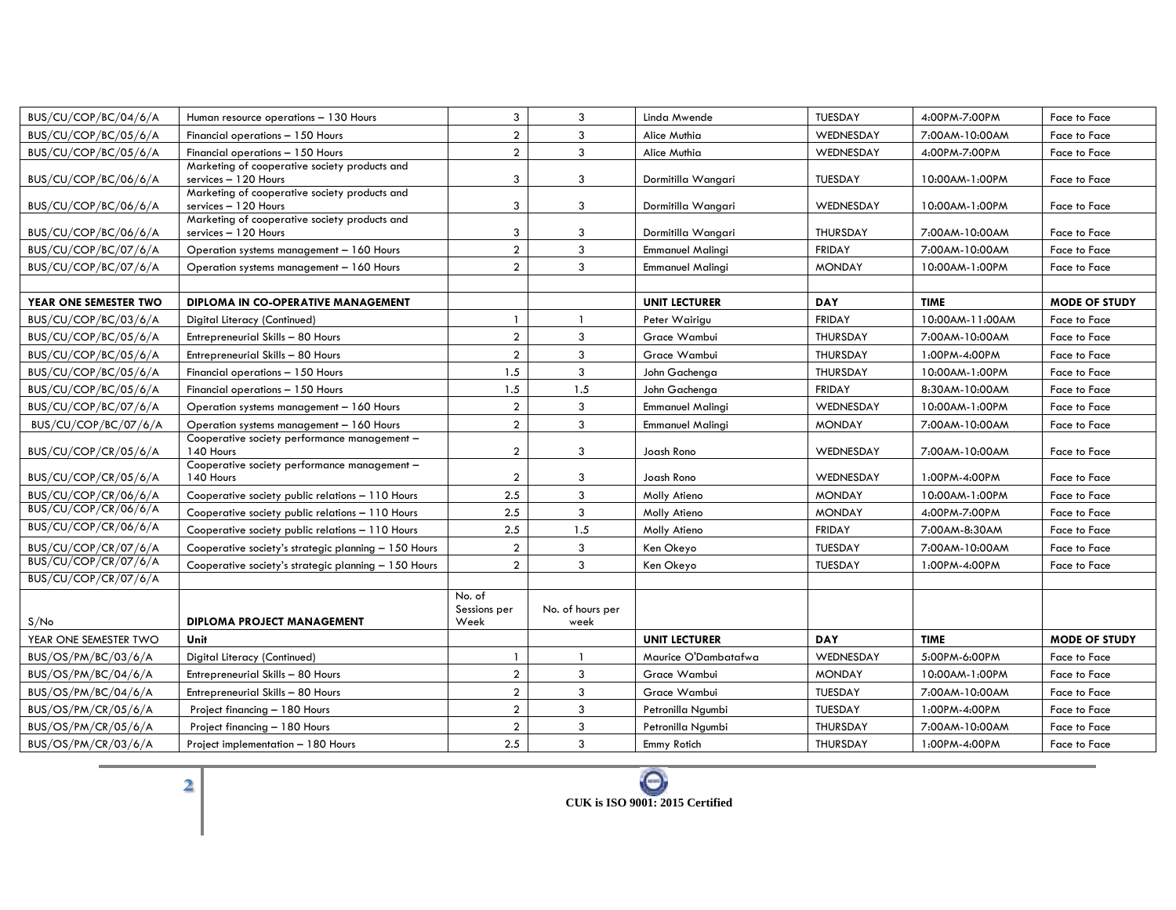| BUS/CU/COP/BC/04/6/A                         | Human resource operations - 130 Hours                                 | 3                | 3                | Linda Mwende            | TUESDAY         | 4:00PM-7:00PM   | Face to Face         |
|----------------------------------------------|-----------------------------------------------------------------------|------------------|------------------|-------------------------|-----------------|-----------------|----------------------|
| BUS/CU/COP/BC/05/6/A                         | Financial operations - 150 Hours                                      | $\overline{2}$   | 3                | Alice Muthia            | WEDNESDAY       | 7:00AM-10:00AM  | Face to Face         |
| BUS/CU/COP/BC/05/6/A                         | Financial operations - 150 Hours                                      | $\boldsymbol{2}$ | 3                | Alice Muthia            | WEDNESDAY       | 4:00PM-7:00PM   | Face to Face         |
|                                              | Marketing of cooperative society products and                         |                  |                  |                         |                 |                 |                      |
| BUS/CU/COP/BC/06/6/A                         | services - 120 Hours                                                  | 3                | 3                | Dormitilla Wangari      | <b>TUESDAY</b>  | 10:00AM-1:00PM  | Face to Face         |
| BUS/CU/COP/BC/06/6/A                         | Marketing of cooperative society products and<br>services - 120 Hours | 3                | 3                | Dormitilla Wangari      | WEDNESDAY       | 10:00AM-1:00PM  | Face to Face         |
|                                              | Marketing of cooperative society products and                         |                  |                  |                         |                 |                 |                      |
| BUS/CU/COP/BC/06/6/A                         | services - 120 Hours                                                  | 3                | 3                | Dormitilla Wangari      | <b>THURSDAY</b> | 7:00AM-10:00AM  | Face to Face         |
| BUS/CU/COP/BC/07/6/A                         | Operation systems management - 160 Hours                              | $\overline{2}$   | 3                | Emmanuel Malingi        | <b>FRIDAY</b>   | 7:00AM-10:00AM  | Face to Face         |
| BUS/CU/COP/BC/07/6/A                         | Operation systems management - 160 Hours                              | $\overline{2}$   | 3                | <b>Emmanuel Malingi</b> | <b>MONDAY</b>   | 10:00AM-1:00PM  | Face to Face         |
|                                              |                                                                       |                  |                  |                         |                 |                 |                      |
| YEAR ONE SEMESTER TWO                        | DIPLOMA IN CO-OPERATIVE MANAGEMENT                                    |                  |                  | <b>UNIT LECTURER</b>    | <b>DAY</b>      | <b>TIME</b>     | <b>MODE OF STUDY</b> |
| BUS/CU/COP/BC/03/6/A                         | Digital Literacy (Continued)                                          | $\overline{1}$   | $\mathbf{1}$     | Peter Wairigu           | <b>FRIDAY</b>   | 10:00AM-11:00AM | Face to Face         |
| BUS/CU/COP/BC/05/6/A                         | Entrepreneurial Skills - 80 Hours                                     | $\overline{2}$   | 3                | Grace Wambui            | <b>THURSDAY</b> | 7:00AM-10:00AM  | Face to Face         |
| BUS/CU/COP/BC/05/6/A                         | Entrepreneurial Skills - 80 Hours                                     | $\boldsymbol{2}$ | 3                | Grace Wambui            | THURSDAY        | 1:00PM-4:00PM   | Face to Face         |
| BUS/CU/COP/BC/05/6/A                         | Financial operations - 150 Hours                                      | 1.5              | 3                | John Gachenga           | THURSDAY        | 10:00AM-1:00PM  | Face to Face         |
| BUS/CU/COP/BC/05/6/A                         | Financial operations - 150 Hours                                      | 1.5              | 1.5              | John Gachenga           | <b>FRIDAY</b>   | 8:30AM-10:00AM  | Face to Face         |
| BUS/CU/COP/BC/07/6/A                         | Operation systems management - 160 Hours                              | $\overline{a}$   | 3                | <b>Emmanuel Malingi</b> | WEDNESDAY       | 10:00AM-1:00PM  | Face to Face         |
| BUS/CU/COP/BC/07/6/A                         | Operation systems management - 160 Hours                              | $\overline{2}$   | 3                | <b>Emmanuel Malingi</b> | <b>MONDAY</b>   | 7:00AM-10:00AM  | Face to Face         |
|                                              | Cooperative society performance management -                          |                  |                  |                         |                 |                 |                      |
| BUS/CU/COP/CR/05/6/A                         | 140 Hours                                                             | $\overline{2}$   | 3                | Joash Rono              | WEDNESDAY       | 7:00AM-10:00AM  | Face to Face         |
| BUS/CU/COP/CR/05/6/A                         | Cooperative society performance management -<br>140 Hours             | $\overline{2}$   | 3                | Joash Rono              | WEDNESDAY       | 1:00PM-4:00PM   | Face to Face         |
| BUS/CU/COP/CR/06/6/A                         | Cooperative society public relations - 110 Hours                      | 2.5              | 3                | Molly Atieno            | <b>MONDAY</b>   | 10:00AM-1:00PM  | Face to Face         |
| BUS/CU/COP/CR/06/6/A                         | Cooperative society public relations - 110 Hours                      | 2.5              | 3                | Molly Atieno            | <b>MONDAY</b>   | 4:00PM-7:00PM   | Face to Face         |
| BUS/CU/COP/CR/06/6/A                         |                                                                       |                  |                  |                         |                 |                 |                      |
|                                              | Cooperative society public relations - 110 Hours                      | 2.5              | 1.5              | Molly Atieno            | <b>FRIDAY</b>   | 7:00AM-8:30AM   | Face to Face         |
| BUS/CU/COP/CR/07/6/A<br>BUS/CU/COP/CR/07/6/A | Cooperative society's strategic planning - 150 Hours                  | $\boldsymbol{2}$ | 3                | Ken Okeyo               | TUESDAY         | 7:00AM-10:00AM  | Face to Face         |
| BUS/CU/COP/CR/07/6/A                         | Cooperative society's strategic planning - 150 Hours                  | $\overline{2}$   | 3                | Ken Okeyo               | TUESDAY         | 1:00PM-4:00PM   | Face to Face         |
|                                              |                                                                       | No. of           |                  |                         |                 |                 |                      |
|                                              |                                                                       | Sessions per     | No. of hours per |                         |                 |                 |                      |
| S/No                                         | <b>DIPLOMA PROJECT MANAGEMENT</b>                                     | Week             | week             |                         |                 |                 |                      |
| YEAR ONE SEMESTER TWO                        | Unit                                                                  |                  |                  | <b>UNIT LECTURER</b>    | <b>DAY</b>      | <b>TIME</b>     | <b>MODE OF STUDY</b> |
| BUS/OS/PM/BC/03/6/A                          | Digital Literacy (Continued)                                          | -1               | -1               | Maurice O'Dambatafwa    | WEDNESDAY       | 5:00PM-6:00PM   | Face to Face         |
| BUS/OS/PM/BC/04/6/A                          | Entrepreneurial Skills - 80 Hours                                     | $\overline{a}$   | 3                | Grace Wambui            | <b>MONDAY</b>   | 10:00AM-1:00PM  | Face to Face         |
| BUS/OS/PM/BC/04/6/A                          | Entrepreneurial Skills - 80 Hours                                     | $\boldsymbol{2}$ | 3                | Grace Wambui            | TUESDAY         | 7:00AM-10:00AM  | Face to Face         |
| BUS/OS/PM/CR/05/6/A                          | Project financing - 180 Hours                                         | $\overline{2}$   | 3                | Petronilla Ngumbi       | TUESDAY         | 1:00PM-4:00PM   | Face to Face         |
| BUS/OS/PM/CR/05/6/A                          | Project financing - 180 Hours                                         | $\boldsymbol{2}$ | 3                | Petronilla Ngumbi       | THURSDAY        | 7:00AM-10:00AM  | Face to Face         |
| BUS/OS/PM/CR/03/6/A                          | Project implementation - 180 Hours                                    | 2.5              | 3                | Emmy Rotich             | THURSDAY        | 1:00PM-4:00PM   | Face to Face         |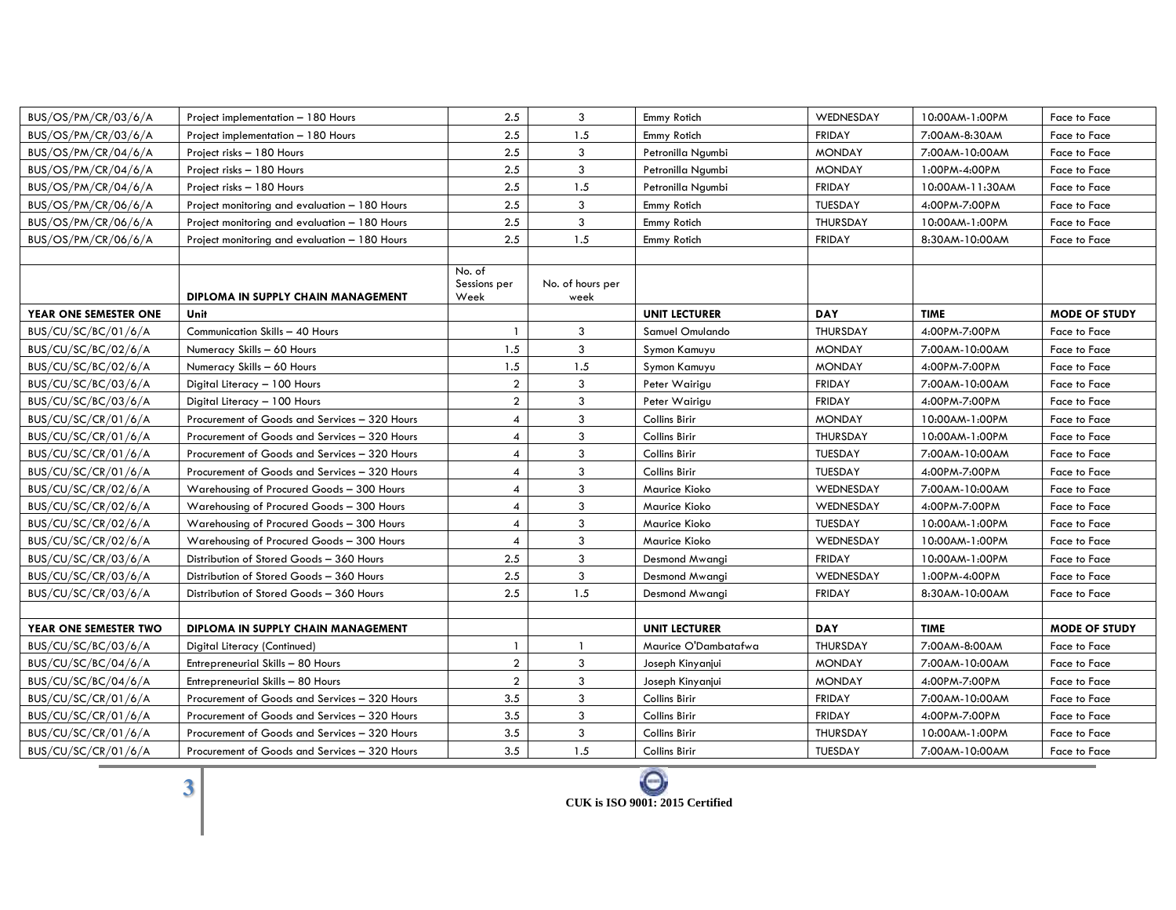| BUS/OS/PM/CR/03/6/A   | Project implementation - 180 Hours            | 2.5                     | 3                | Emmy Rotich          | WEDNESDAY       | 10:00AM-1:00PM  | Face to Face         |
|-----------------------|-----------------------------------------------|-------------------------|------------------|----------------------|-----------------|-----------------|----------------------|
| BUS/OS/PM/CR/03/6/A   | Project implementation - 180 Hours            | 2.5                     | 1.5              | Emmy Rotich          | <b>FRIDAY</b>   | 7:00AM-8:30AM   | Face to Face         |
| BUS/OS/PM/CR/04/6/A   | Project risks - 180 Hours                     | 2.5                     | 3                | Petronilla Ngumbi    | <b>MONDAY</b>   | 7:00AM-10:00AM  | Face to Face         |
| BUS/OS/PM/CR/04/6/A   | Project risks - 180 Hours                     | 2.5                     | 3                | Petronilla Ngumbi    | <b>MONDAY</b>   | 1:00PM-4:00PM   | Face to Face         |
| BUS/OS/PM/CR/04/6/A   | Project risks - 180 Hours                     | 2.5                     | 1.5              | Petronilla Ngumbi    | <b>FRIDAY</b>   | 10:00AM-11:30AM | Face to Face         |
| BUS/OS/PM/CR/06/6/A   | Project monitoring and evaluation - 180 Hours | 2.5                     | 3                | Emmy Rotich          | <b>TUESDAY</b>  | 4:00PM-7:00PM   | Face to Face         |
| BUS/OS/PM/CR/06/6/A   | Project monitoring and evaluation - 180 Hours | 2.5                     | 3                | Emmy Rotich          | THURSDAY        | 10:00AM-1:00PM  | Face to Face         |
| BUS/OS/PM/CR/06/6/A   | Project monitoring and evaluation - 180 Hours | 2.5                     | 1.5              | Emmy Rotich          | <b>FRIDAY</b>   | 8:30AM-10:00AM  | Face to Face         |
|                       |                                               |                         |                  |                      |                 |                 |                      |
|                       |                                               | No. of<br>Sessions per  | No. of hours per |                      |                 |                 |                      |
|                       | DIPLOMA IN SUPPLY CHAIN MANAGEMENT            | Week                    | week             |                      |                 |                 |                      |
| YEAR ONE SEMESTER ONE | Unit                                          |                         |                  | <b>UNIT LECTURER</b> | <b>DAY</b>      | <b>TIME</b>     | <b>MODE OF STUDY</b> |
| BUS/CU/SC/BC/01/6/A   | Communication Skills - 40 Hours               | $\overline{1}$          | 3                | Samuel Omulando      | THURSDAY        | 4:00PM-7:00PM   | Face to Face         |
| BUS/CU/SC/BC/02/6/A   | Numeracy Skills - 60 Hours                    | 1.5                     | 3                | Symon Kamuyu         | <b>MONDAY</b>   | 7:00AM-10:00AM  | Face to Face         |
| BUS/CU/SC/BC/02/6/A   | Numeracy Skills - 60 Hours                    | 1.5                     | 1.5              | Symon Kamuyu         | <b>MONDAY</b>   | 4:00PM-7:00PM   | Face to Face         |
| BUS/CU/SC/BC/03/6/A   | Digital Literacy - 100 Hours                  | $\overline{2}$          | 3                | Peter Wairigu        | <b>FRIDAY</b>   | 7:00AM-10:00AM  | Face to Face         |
| BUS/CU/SC/BC/03/6/A   | Digital Literacy - 100 Hours                  | $\overline{a}$          | 3                | Peter Wairigu        | <b>FRIDAY</b>   | 4:00PM-7:00PM   | Face to Face         |
| BUS/CU/SC/CR/01/6/A   | Procurement of Goods and Services - 320 Hours | $\overline{4}$          | 3                | Collins Birir        | <b>MONDAY</b>   | 10:00AM-1:00PM  | Face to Face         |
| BUS/CU/SC/CR/01/6/A   | Procurement of Goods and Services - 320 Hours | $\overline{\mathbf{4}}$ | 3                | Collins Birir        | THURSDAY        | 10:00AM-1:00PM  | Face to Face         |
| BUS/CU/SC/CR/01/6/A   | Procurement of Goods and Services - 320 Hours | $\overline{\mathbf{4}}$ | 3                | Collins Birir        | <b>TUESDAY</b>  | 7:00AM-10:00AM  | Face to Face         |
| BUS/CU/SC/CR/01/6/A   | Procurement of Goods and Services - 320 Hours | $\overline{4}$          | 3                | Collins Birir        | TUESDAY         | 4:00PM-7:00PM   | Face to Face         |
| BUS/CU/SC/CR/02/6/A   | Warehousing of Procured Goods - 300 Hours     | $\overline{\mathbf{4}}$ | 3                | Maurice Kioko        | WEDNESDAY       | 7:00AM-10:00AM  | Face to Face         |
| BUS/CU/SC/CR/02/6/A   | Warehousing of Procured Goods - 300 Hours     | 4                       | 3                | Maurice Kioko        | WEDNESDAY       | 4:00PM-7:00PM   | Face to Face         |
| BUS/CU/SC/CR/02/6/A   | Warehousing of Procured Goods - 300 Hours     | $\overline{4}$          | 3                | Maurice Kioko        | <b>TUESDAY</b>  | 10:00AM-1:00PM  | Face to Face         |
| BUS/CU/SC/CR/02/6/A   | Warehousing of Procured Goods - 300 Hours     | $\overline{4}$          | 3                | Maurice Kioko        | WEDNESDAY       | 10:00AM-1:00PM  | Face to Face         |
| BUS/CU/SC/CR/03/6/A   | Distribution of Stored Goods - 360 Hours      | 2.5                     | 3                | Desmond Mwangi       | <b>FRIDAY</b>   | 10:00AM-1:00PM  | Face to Face         |
| BUS/CU/SC/CR/03/6/A   | Distribution of Stored Goods - 360 Hours      | 2.5                     | 3                | Desmond Mwangi       | WEDNESDAY       | 1:00PM-4:00PM   | Face to Face         |
| BUS/CU/SC/CR/03/6/A   | Distribution of Stored Goods - 360 Hours      | 2.5                     | 1.5              | Desmond Mwangi       | <b>FRIDAY</b>   | 8:30AM-10:00AM  | Face to Face         |
|                       |                                               |                         |                  |                      |                 |                 |                      |
| YEAR ONE SEMESTER TWO | DIPLOMA IN SUPPLY CHAIN MANAGEMENT            |                         |                  | <b>UNIT LECTURER</b> | <b>DAY</b>      | <b>TIME</b>     | <b>MODE OF STUDY</b> |
| BUS/CU/SC/BC/03/6/A   | Digital Literacy (Continued)                  | $\overline{1}$          | -1               | Maurice O'Dambatafwa | THURSDAY        | 7:00AM-8:00AM   | Face to Face         |
| BUS/CU/SC/BC/04/6/A   | Entrepreneurial Skills - 80 Hours             | $\overline{2}$          | 3                | Joseph Kinyanjui     | <b>MONDAY</b>   | 7:00AM-10:00AM  | Face to Face         |
| BUS/CU/SC/BC/04/6/A   | Entrepreneurial Skills - 80 Hours             | $\overline{2}$          | 3                | Joseph Kinyanjui     | <b>MONDAY</b>   | 4:00PM-7:00PM   | Face to Face         |
| BUS/CU/SC/CR/01/6/A   | Procurement of Goods and Services - 320 Hours | 3.5                     | 3                | Collins Birir        | <b>FRIDAY</b>   | 7:00AM-10:00AM  | Face to Face         |
| BUS/CU/SC/CR/01/6/A   | Procurement of Goods and Services - 320 Hours | 3.5                     | 3                | Collins Birir        | <b>FRIDAY</b>   | 4:00PM-7:00PM   | Face to Face         |
| BUS/CU/SC/CR/01/6/A   | Procurement of Goods and Services - 320 Hours | 3.5                     | 3                | Collins Birir        | <b>THURSDAY</b> | 10:00AM-1:00PM  | Face to Face         |
| BUS/CU/SC/CR/01/6/A   | Procurement of Goods and Services - 320 Hours | 3.5                     | 1.5              | Collins Birir        | <b>TUESDAY</b>  | 7:00AM-10:00AM  | Face to Face         |

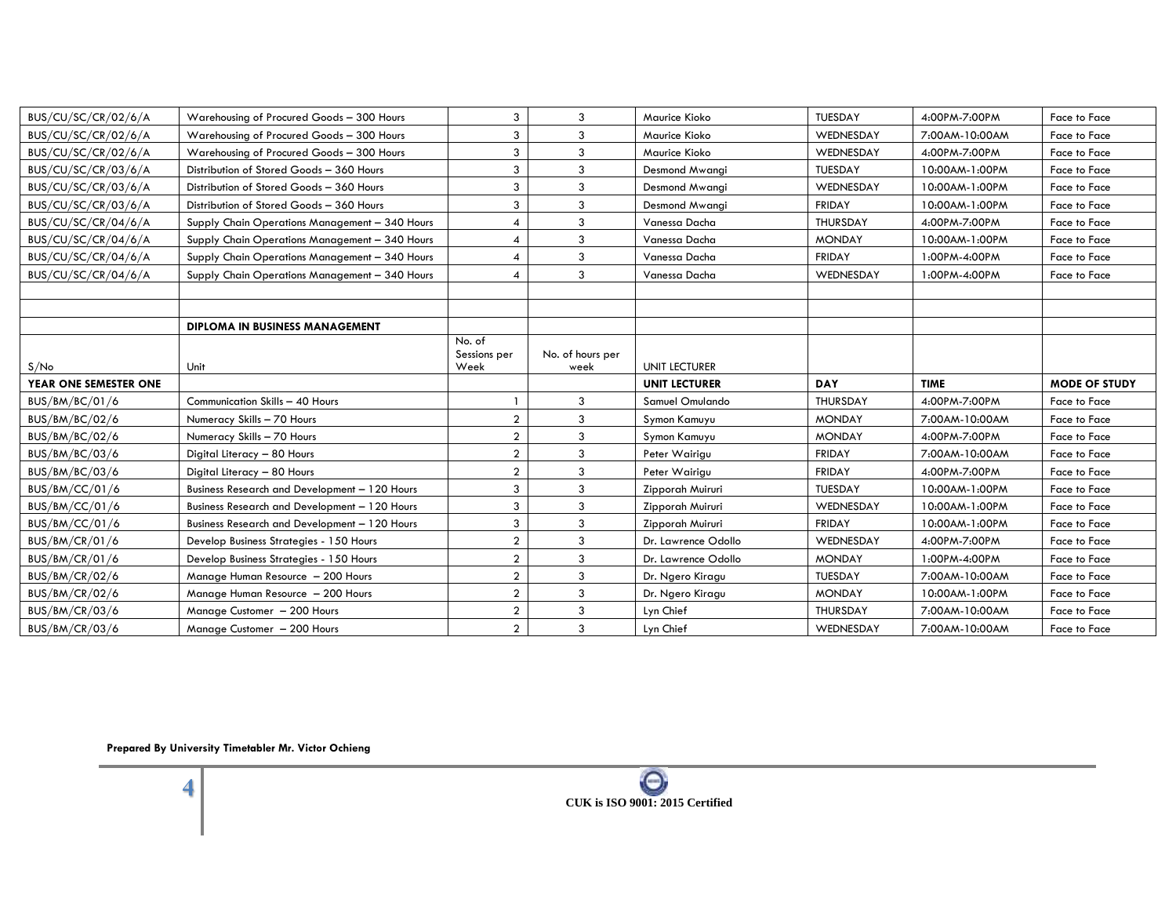| BUS/CU/SC/CR/02/6/A   | Warehousing of Procured Goods - 300 Hours      | 3                              | 3                        | Maurice Kioko        | <b>TUESDAY</b>  | 4:00PM-7:00PM  | Face to Face         |
|-----------------------|------------------------------------------------|--------------------------------|--------------------------|----------------------|-----------------|----------------|----------------------|
| BUS/CU/SC/CR/02/6/A   | Warehousing of Procured Goods - 300 Hours      | 3                              | 3                        | Maurice Kioko        | WEDNESDAY       | 7:00AM-10:00AM | Face to Face         |
| BUS/CU/SC/CR/02/6/A   | Warehousing of Procured Goods - 300 Hours      | 3                              | 3                        | Maurice Kioko        | WEDNESDAY       | 4:00PM-7:00PM  | Face to Face         |
| BUS/CU/SC/CR/03/6/A   | Distribution of Stored Goods - 360 Hours       | 3                              | 3                        | Desmond Mwangi       | <b>TUESDAY</b>  | 10:00AM-1:00PM | Face to Face         |
| BUS/CU/SC/CR/03/6/A   | Distribution of Stored Goods - 360 Hours       | 3                              | 3                        | Desmond Mwangi       | WEDNESDAY       | 10:00AM-1:00PM | Face to Face         |
| BUS/CU/SC/CR/03/6/A   | Distribution of Stored Goods - 360 Hours       | 3                              | 3                        | Desmond Mwangi       | <b>FRIDAY</b>   | 10:00AM-1:00PM | Face to Face         |
| BUS/CU/SC/CR/04/6/A   | Supply Chain Operations Management - 340 Hours | $\overline{4}$                 | 3                        | Vanessa Dacha        | <b>THURSDAY</b> | 4:00PM-7:00PM  | Face to Face         |
| BUS/CU/SC/CR/04/6/A   | Supply Chain Operations Management - 340 Hours | $\overline{4}$                 | 3                        | Vanessa Dacha        | <b>MONDAY</b>   | 10:00AM-1:00PM | Face to Face         |
| BUS/CU/SC/CR/04/6/A   | Supply Chain Operations Management - 340 Hours | $\overline{4}$                 | 3                        | Vanessa Dacha        | <b>FRIDAY</b>   | 1:00PM-4:00PM  | Face to Face         |
| BUS/CU/SC/CR/04/6/A   | Supply Chain Operations Management - 340 Hours | $\overline{4}$                 | 3                        | Vanessa Dacha        | WEDNESDAY       | 1:00PM-4:00PM  | Face to Face         |
|                       |                                                |                                |                          |                      |                 |                |                      |
|                       |                                                |                                |                          |                      |                 |                |                      |
|                       | DIPLOMA IN BUSINESS MANAGEMENT                 |                                |                          |                      |                 |                |                      |
| S/No                  | Unit                                           | No. of<br>Sessions per<br>Week | No. of hours per<br>week | <b>UNIT LECTURER</b> |                 |                |                      |
|                       |                                                |                                |                          |                      |                 |                |                      |
| YEAR ONE SEMESTER ONE |                                                |                                |                          | <b>UNIT LECTURER</b> | <b>DAY</b>      | <b>TIME</b>    | <b>MODE OF STUDY</b> |
| BUS/BM/BC/01/6        | Communication Skills - 40 Hours                |                                | 3                        | Samuel Omulando      | <b>THURSDAY</b> | 4:00PM-7:00PM  | Face to Face         |
| BUS/BM/BC/02/6        | Numeracy Skills - 70 Hours                     | $\overline{2}$                 | 3                        | Symon Kamuyu         | <b>MONDAY</b>   | 7:00AM-10:00AM | Face to Face         |
| BUS/BM/BC/02/6        | Numeracy Skills - 70 Hours                     | $\overline{2}$                 | 3                        | Symon Kamuyu         | <b>MONDAY</b>   | 4:00PM-7:00PM  | Face to Face         |
| BUS/BM/BC/03/6        | Digital Literacy - 80 Hours                    | $\overline{2}$                 | 3                        | Peter Wairigu        | <b>FRIDAY</b>   | 7:00AM-10:00AM | Face to Face         |
| BUS/BM/BC/03/6        | Digital Literacy - 80 Hours                    | $\overline{2}$                 | 3                        | Peter Wairigu        | <b>FRIDAY</b>   | 4:00PM-7:00PM  | Face to Face         |
| BUS/BM/CC/01/6        | Business Research and Development - 120 Hours  | 3                              | 3                        | Zipporah Muiruri     | <b>TUESDAY</b>  | 10:00AM-1:00PM | Face to Face         |
| BUS/BM/CC/01/6        | Business Research and Development - 120 Hours  | 3                              | 3                        | Zipporah Muiruri     | WEDNESDAY       | 10:00AM-1:00PM | Face to Face         |
| BUS/BM/CC/01/6        | Business Research and Development - 120 Hours  | 3                              | 3                        | Zipporah Muiruri     | <b>FRIDAY</b>   | 10:00AM-1:00PM | Face to Face         |
| BUS/BM/CR/01/6        | Develop Business Strategies - 150 Hours        | $\overline{2}$                 | 3                        | Dr. Lawrence Odollo  | WEDNESDAY       | 4:00PM-7:00PM  | Face to Face         |
| BUS/BM/CR/01/6        | Develop Business Strategies - 150 Hours        | $\overline{2}$                 | 3                        | Dr. Lawrence Odollo  | <b>MONDAY</b>   | 1:00PM-4:00PM  | Face to Face         |
| BUS/BM/CR/02/6        | Manage Human Resource - 200 Hours              | $\overline{2}$                 | 3                        | Dr. Ngero Kiragu     | <b>TUESDAY</b>  | 7:00AM-10:00AM | Face to Face         |
| BUS/BM/CR/02/6        | Manage Human Resource - 200 Hours              | $\overline{2}$                 | $\mathbf{3}$             | Dr. Ngero Kiragu     | <b>MONDAY</b>   | 10:00AM-1:00PM | Face to Face         |
| BUS/BM/CR/03/6        | Manage Customer - 200 Hours                    | $\overline{2}$                 | 3                        | Lyn Chief            | <b>THURSDAY</b> | 7:00AM-10:00AM | Face to Face         |

**Prepared By University Timetabler Mr. Victor Ochieng**